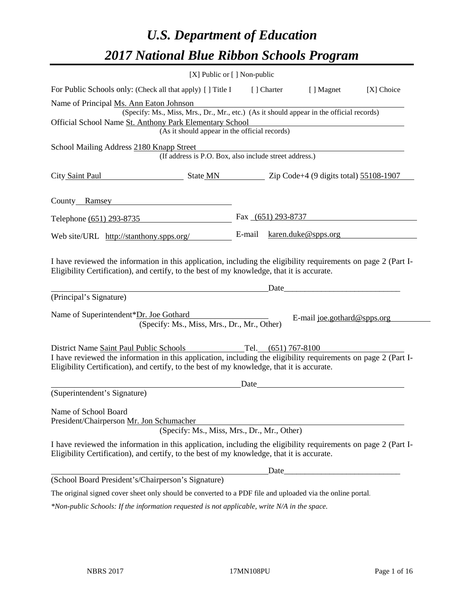# *U.S. Department of Education 2017 National Blue Ribbon Schools Program*

|                                                                                                                                                                                                                                                                             | [X] Public or [] Non-public                                                              |                      |      |                             |            |
|-----------------------------------------------------------------------------------------------------------------------------------------------------------------------------------------------------------------------------------------------------------------------------|------------------------------------------------------------------------------------------|----------------------|------|-----------------------------|------------|
| For Public Schools only: (Check all that apply) [ ] Title I                                                                                                                                                                                                                 |                                                                                          | [ ] Charter          |      | [ ] Magnet                  | [X] Choice |
| Name of Principal Ms. Ann Eaton Johnson<br>Official School Name St. Anthony Park Elementary School                                                                                                                                                                          | (Specify: Ms., Miss, Mrs., Dr., Mr., etc.) (As it should appear in the official records) |                      |      |                             |            |
|                                                                                                                                                                                                                                                                             | (As it should appear in the official records)                                            |                      |      |                             |            |
| School Mailing Address 2180 Knapp Street                                                                                                                                                                                                                                    | (If address is P.O. Box, also include street address.)                                   |                      |      |                             |            |
| City Saint Paul<br>$\frac{\text{State MN}}{\text{2ip Code+4 (9 digits total)} 55108-1907}$                                                                                                                                                                                  |                                                                                          |                      |      |                             |            |
| County Ramsey<br><u> 1989 - Johann Barbara, martin amerikan basar dan basa dan basa dan basa dalam basa dalam basa dalam basa dala</u>                                                                                                                                      |                                                                                          |                      |      |                             |            |
| Telephone (651) 293-8735                                                                                                                                                                                                                                                    |                                                                                          | Fax $(651)$ 293-8737 |      |                             |            |
| Web site/URL http://stanthony.spps.org/                                                                                                                                                                                                                                     |                                                                                          | E-mail               |      | karen.duke@spps.org         |            |
| I have reviewed the information in this application, including the eligibility requirements on page 2 (Part I-<br>Eligibility Certification), and certify, to the best of my knowledge, that it is accurate.                                                                |                                                                                          |                      | Date |                             |            |
| (Principal's Signature)                                                                                                                                                                                                                                                     |                                                                                          |                      |      |                             |            |
| Name of Superintendent*Dr. Joe Gothard                                                                                                                                                                                                                                      | (Specify: Ms., Miss, Mrs., Dr., Mr., Other)                                              |                      |      | E-mail joe.gothard@spps.org |            |
| District Name Saint Paul Public Schools Tel. (651) 767-8100<br>I have reviewed the information in this application, including the eligibility requirements on page 2 (Part I-<br>Eligibility Certification), and certify, to the best of my knowledge, that it is accurate. |                                                                                          | Date                 |      |                             |            |
| (Superintendent's Signature)                                                                                                                                                                                                                                                |                                                                                          |                      |      |                             |            |
| Name of School Board<br>President/Chairperson Mr. Jon Schumacher                                                                                                                                                                                                            | (Specify: Ms., Miss, Mrs., Dr., Mr., Other)                                              |                      |      |                             |            |
| I have reviewed the information in this application, including the eligibility requirements on page 2 (Part I-<br>Eligibility Certification), and certify, to the best of my knowledge, that it is accurate.                                                                |                                                                                          |                      |      |                             |            |
|                                                                                                                                                                                                                                                                             |                                                                                          |                      | Date |                             |            |
| (School Board President's/Chairperson's Signature)                                                                                                                                                                                                                          |                                                                                          |                      |      |                             |            |
| The original signed cover sheet only should be converted to a PDF file and uploaded via the online portal.                                                                                                                                                                  |                                                                                          |                      |      |                             |            |
| *Non-public Schools: If the information requested is not applicable, write N/A in the space.                                                                                                                                                                                |                                                                                          |                      |      |                             |            |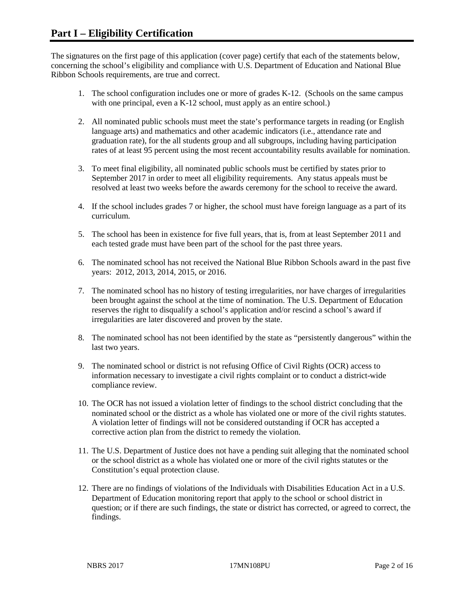The signatures on the first page of this application (cover page) certify that each of the statements below, concerning the school's eligibility and compliance with U.S. Department of Education and National Blue Ribbon Schools requirements, are true and correct.

- 1. The school configuration includes one or more of grades K-12. (Schools on the same campus with one principal, even a K-12 school, must apply as an entire school.)
- 2. All nominated public schools must meet the state's performance targets in reading (or English language arts) and mathematics and other academic indicators (i.e., attendance rate and graduation rate), for the all students group and all subgroups, including having participation rates of at least 95 percent using the most recent accountability results available for nomination.
- 3. To meet final eligibility, all nominated public schools must be certified by states prior to September 2017 in order to meet all eligibility requirements. Any status appeals must be resolved at least two weeks before the awards ceremony for the school to receive the award.
- 4. If the school includes grades 7 or higher, the school must have foreign language as a part of its curriculum.
- 5. The school has been in existence for five full years, that is, from at least September 2011 and each tested grade must have been part of the school for the past three years.
- 6. The nominated school has not received the National Blue Ribbon Schools award in the past five years: 2012, 2013, 2014, 2015, or 2016.
- 7. The nominated school has no history of testing irregularities, nor have charges of irregularities been brought against the school at the time of nomination. The U.S. Department of Education reserves the right to disqualify a school's application and/or rescind a school's award if irregularities are later discovered and proven by the state.
- 8. The nominated school has not been identified by the state as "persistently dangerous" within the last two years.
- 9. The nominated school or district is not refusing Office of Civil Rights (OCR) access to information necessary to investigate a civil rights complaint or to conduct a district-wide compliance review.
- 10. The OCR has not issued a violation letter of findings to the school district concluding that the nominated school or the district as a whole has violated one or more of the civil rights statutes. A violation letter of findings will not be considered outstanding if OCR has accepted a corrective action plan from the district to remedy the violation.
- 11. The U.S. Department of Justice does not have a pending suit alleging that the nominated school or the school district as a whole has violated one or more of the civil rights statutes or the Constitution's equal protection clause.
- 12. There are no findings of violations of the Individuals with Disabilities Education Act in a U.S. Department of Education monitoring report that apply to the school or school district in question; or if there are such findings, the state or district has corrected, or agreed to correct, the findings.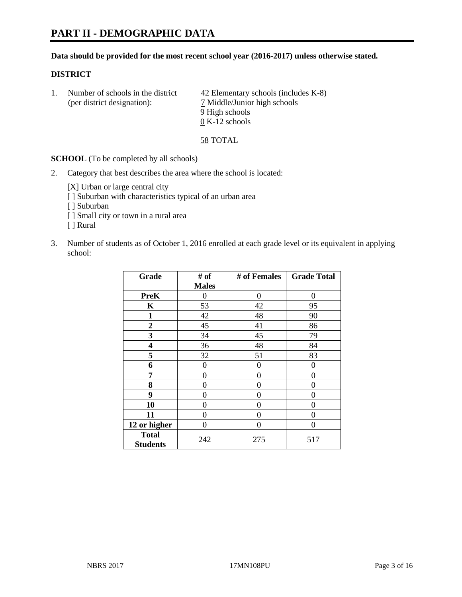#### **Data should be provided for the most recent school year (2016-2017) unless otherwise stated.**

# **DISTRICT**

1. Number of schools in the district  $\frac{42}{2}$  Elementary schools (includes K-8) (per district designation): 7 Middle/Junior high schools 9 High schools 0 K-12 schools

58 TOTAL

**SCHOOL** (To be completed by all schools)

2. Category that best describes the area where the school is located:

[X] Urban or large central city [ ] Suburban with characteristics typical of an urban area

- [ ] Suburban
- [ ] Small city or town in a rural area
- [ ] Rural
- 3. Number of students as of October 1, 2016 enrolled at each grade level or its equivalent in applying school:

| Grade                           | # of         | # of Females | <b>Grade Total</b> |
|---------------------------------|--------------|--------------|--------------------|
|                                 | <b>Males</b> |              |                    |
| <b>PreK</b>                     | 0            | $\theta$     | 0                  |
| $\mathbf K$                     | 53           | 42           | 95                 |
| 1                               | 42           | 48           | 90                 |
| $\boldsymbol{2}$                | 45           | 41           | 86                 |
| 3                               | 34           | 45           | 79                 |
| 4                               | 36           | 48           | 84                 |
| 5                               | 32           | 51           | 83                 |
| 6                               | $\theta$     | 0            | $\theta$           |
| 7                               | 0            | 0            | 0                  |
| 8                               | 0            | 0            | 0                  |
| 9                               | 0            | 0            | 0                  |
| 10                              | 0            | 0            | 0                  |
| 11                              | 0            | 0            | $\mathbf{\Omega}$  |
| 12 or higher                    | 0            | 0            | 0                  |
| <b>Total</b><br><b>Students</b> | 242          | 275          | 517                |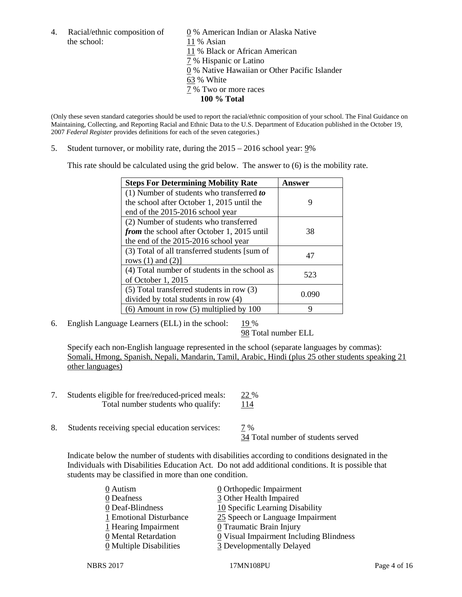the school: 11 % Asian

4. Racial/ethnic composition of  $\qquad 0 \%$  American Indian or Alaska Native 11 % Black or African American 7 % Hispanic or Latino 0 % Native Hawaiian or Other Pacific Islander 63 % White 7 % Two or more races **100 % Total**

(Only these seven standard categories should be used to report the racial/ethnic composition of your school. The Final Guidance on Maintaining, Collecting, and Reporting Racial and Ethnic Data to the U.S. Department of Education published in the October 19, 2007 *Federal Register* provides definitions for each of the seven categories.)

5. Student turnover, or mobility rate, during the 2015 – 2016 school year: 9%

This rate should be calculated using the grid below. The answer to (6) is the mobility rate.

| <b>Steps For Determining Mobility Rate</b>         | Answer |  |
|----------------------------------------------------|--------|--|
| (1) Number of students who transferred to          |        |  |
| the school after October 1, 2015 until the         | 9      |  |
| end of the 2015-2016 school year                   |        |  |
| (2) Number of students who transferred             |        |  |
| <i>from</i> the school after October 1, 2015 until | 38     |  |
| the end of the 2015-2016 school year               |        |  |
| (3) Total of all transferred students [sum of      | 47     |  |
| rows $(1)$ and $(2)$ ]                             |        |  |
| (4) Total number of students in the school as      | 523    |  |
| of October 1, 2015                                 |        |  |
| (5) Total transferred students in row (3)          | 0.090  |  |
| divided by total students in row (4)               |        |  |
| $(6)$ Amount in row $(5)$ multiplied by 100        | q      |  |

6. English Language Learners (ELL) in the school:  $19\%$ 

98 Total number ELL

Specify each non-English language represented in the school (separate languages by commas): Somali, Hmong, Spanish, Nepali, Mandarin, Tamil, Arabic, Hindi (plus 25 other students speaking 21 other languages)

- 7. Students eligible for free/reduced-priced meals: 22 % Total number students who qualify:  $114$
- 8. Students receiving special education services: 7 %

34 Total number of students served

Indicate below the number of students with disabilities according to conditions designated in the Individuals with Disabilities Education Act. Do not add additional conditions. It is possible that students may be classified in more than one condition.

| 0 Autism                | $\underline{0}$ Orthopedic Impairment     |
|-------------------------|-------------------------------------------|
| 0 Deafness              | 3 Other Health Impaired                   |
| 0 Deaf-Blindness        | 10 Specific Learning Disability           |
| 1 Emotional Disturbance | 25 Speech or Language Impairment          |
| 1 Hearing Impairment    | <b>0</b> Traumatic Brain Injury           |
| 0 Mental Retardation    | $Q$ Visual Impairment Including Blindness |
| 0 Multiple Disabilities | 3 Developmentally Delayed                 |
|                         |                                           |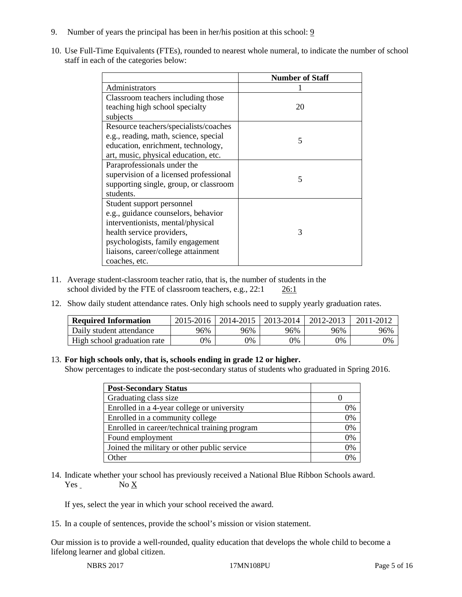- 9. Number of years the principal has been in her/his position at this school: 9
- 10. Use Full-Time Equivalents (FTEs), rounded to nearest whole numeral, to indicate the number of school staff in each of the categories below:

|                                        | <b>Number of Staff</b>   |  |  |
|----------------------------------------|--------------------------|--|--|
| Administrators                         |                          |  |  |
| Classroom teachers including those     |                          |  |  |
| teaching high school specialty         | 20                       |  |  |
| subjects                               |                          |  |  |
| Resource teachers/specialists/coaches  |                          |  |  |
| e.g., reading, math, science, special  | 5                        |  |  |
| education, enrichment, technology,     |                          |  |  |
| art, music, physical education, etc.   |                          |  |  |
| Paraprofessionals under the            |                          |  |  |
| supervision of a licensed professional | $\overline{\mathcal{L}}$ |  |  |
| supporting single, group, or classroom |                          |  |  |
| students.                              |                          |  |  |
| Student support personnel              |                          |  |  |
| e.g., guidance counselors, behavior    |                          |  |  |
| interventionists, mental/physical      |                          |  |  |
| health service providers,              | 3                        |  |  |
| psychologists, family engagement       |                          |  |  |
| liaisons, career/college attainment    |                          |  |  |
| coaches, etc.                          |                          |  |  |

- 11. Average student-classroom teacher ratio, that is, the number of students in the school divided by the FTE of classroom teachers, e.g., 22:1 26:1
- 12. Show daily student attendance rates. Only high schools need to supply yearly graduation rates.

| <b>Required Information</b> | 2015-2016 | 2014-2015 | 2013-2014 | 2012-2013 |     |
|-----------------------------|-----------|-----------|-----------|-----------|-----|
| Daily student attendance    | 96%       | 96%       | 96%       | 96%       | 96% |
| High school graduation rate | 0%        | 0%        | 0%        | 9%        | 0%  |

#### 13. **For high schools only, that is, schools ending in grade 12 or higher.**

Show percentages to indicate the post-secondary status of students who graduated in Spring 2016.

| <b>Post-Secondary Status</b>                  |    |
|-----------------------------------------------|----|
| Graduating class size                         |    |
| Enrolled in a 4-year college or university    | 0% |
| Enrolled in a community college               | 0% |
| Enrolled in career/technical training program | 0% |
| Found employment                              | 0% |
| Joined the military or other public service   | 0% |
| <b>Other</b>                                  | 0/ |

14. Indicate whether your school has previously received a National Blue Ribbon Schools award. Yes No X

If yes, select the year in which your school received the award.

15. In a couple of sentences, provide the school's mission or vision statement.

Our mission is to provide a well-rounded, quality education that develops the whole child to become a lifelong learner and global citizen.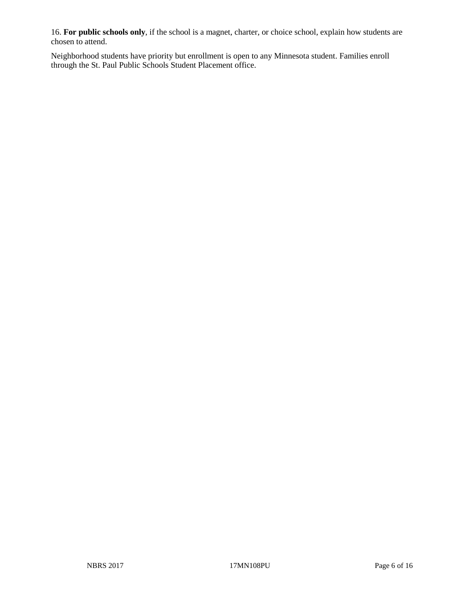16. **For public schools only**, if the school is a magnet, charter, or choice school, explain how students are chosen to attend.

Neighborhood students have priority but enrollment is open to any Minnesota student. Families enroll through the St. Paul Public Schools Student Placement office.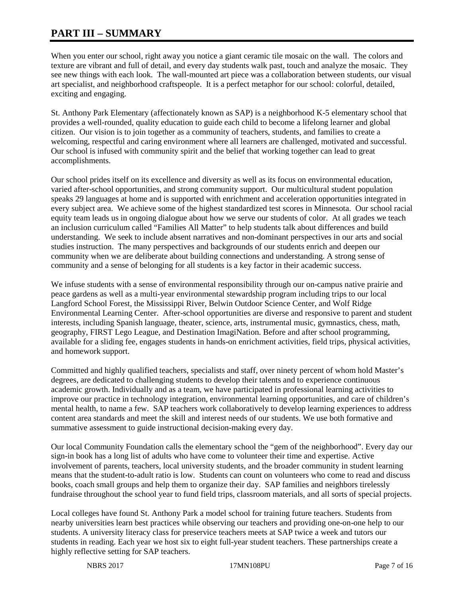# **PART III – SUMMARY**

When you enter our school, right away you notice a giant ceramic tile mosaic on the wall. The colors and texture are vibrant and full of detail, and every day students walk past, touch and analyze the mosaic. They see new things with each look. The wall-mounted art piece was a collaboration between students, our visual art specialist, and neighborhood craftspeople. It is a perfect metaphor for our school: colorful, detailed, exciting and engaging.

St. Anthony Park Elementary (affectionately known as SAP) is a neighborhood K-5 elementary school that provides a well-rounded, quality education to guide each child to become a lifelong learner and global citizen. Our vision is to join together as a community of teachers, students, and families to create a welcoming, respectful and caring environment where all learners are challenged, motivated and successful. Our school is infused with community spirit and the belief that working together can lead to great accomplishments.

Our school prides itself on its excellence and diversity as well as its focus on environmental education, varied after-school opportunities, and strong community support. Our multicultural student population speaks 29 languages at home and is supported with enrichment and acceleration opportunities integrated in every subject area. We achieve some of the highest standardized test scores in Minnesota. Our school racial equity team leads us in ongoing dialogue about how we serve our students of color. At all grades we teach an inclusion curriculum called "Families All Matter" to help students talk about differences and build understanding. We seek to include absent narratives and non-dominant perspectives in our arts and social studies instruction. The many perspectives and backgrounds of our students enrich and deepen our community when we are deliberate about building connections and understanding. A strong sense of community and a sense of belonging for all students is a key factor in their academic success.

We infuse students with a sense of environmental responsibility through our on-campus native prairie and peace gardens as well as a multi-year environmental stewardship program including trips to our local Langford School Forest, the Mississippi River, Belwin Outdoor Science Center, and Wolf Ridge Environmental Learning Center. After-school opportunities are diverse and responsive to parent and student interests, including Spanish language, theater, science, arts, instrumental music, gymnastics, chess, math, geography, FIRST Lego League, and Destination ImagiNation. Before and after school programming, available for a sliding fee, engages students in hands-on enrichment activities, field trips, physical activities, and homework support.

Committed and highly qualified teachers, specialists and staff, over ninety percent of whom hold Master's degrees, are dedicated to challenging students to develop their talents and to experience continuous academic growth. Individually and as a team, we have participated in professional learning activities to improve our practice in technology integration, environmental learning opportunities, and care of children's mental health, to name a few. SAP teachers work collaboratively to develop learning experiences to address content area standards and meet the skill and interest needs of our students. We use both formative and summative assessment to guide instructional decision-making every day.

Our local Community Foundation calls the elementary school the "gem of the neighborhood". Every day our sign-in book has a long list of adults who have come to volunteer their time and expertise. Active involvement of parents, teachers, local university students, and the broader community in student learning means that the student-to-adult ratio is low. Students can count on volunteers who come to read and discuss books, coach small groups and help them to organize their day. SAP families and neighbors tirelessly fundraise throughout the school year to fund field trips, classroom materials, and all sorts of special projects.

Local colleges have found St. Anthony Park a model school for training future teachers. Students from nearby universities learn best practices while observing our teachers and providing one-on-one help to our students. A university literacy class for preservice teachers meets at SAP twice a week and tutors our students in reading. Each year we host six to eight full-year student teachers. These partnerships create a highly reflective setting for SAP teachers.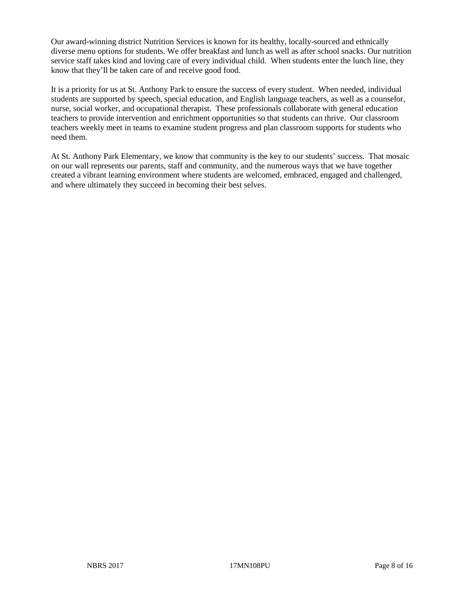Our award-winning district Nutrition Services is known for its healthy, locally-sourced and ethnically diverse menu options for students. We offer breakfast and lunch as well as after school snacks. Our nutrition service staff takes kind and loving care of every individual child. When students enter the lunch line, they know that they'll be taken care of and receive good food.

It is a priority for us at St. Anthony Park to ensure the success of every student. When needed, individual students are supported by speech, special education, and English language teachers, as well as a counselor, nurse, social worker, and occupational therapist. These professionals collaborate with general education teachers to provide intervention and enrichment opportunities so that students can thrive. Our classroom teachers weekly meet in teams to examine student progress and plan classroom supports for students who need them.

At St. Anthony Park Elementary, we know that community is the key to our students' success. That mosaic on our wall represents our parents, staff and community, and the numerous ways that we have together created a vibrant learning environment where students are welcomed, embraced, engaged and challenged, and where ultimately they succeed in becoming their best selves.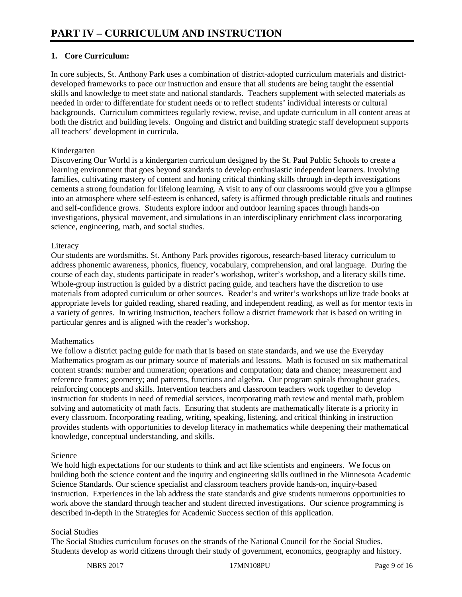# **1. Core Curriculum:**

In core subjects, St. Anthony Park uses a combination of district-adopted curriculum materials and districtdeveloped frameworks to pace our instruction and ensure that all students are being taught the essential skills and knowledge to meet state and national standards. Teachers supplement with selected materials as needed in order to differentiate for student needs or to reflect students' individual interests or cultural backgrounds. Curriculum committees regularly review, revise, and update curriculum in all content areas at both the district and building levels. Ongoing and district and building strategic staff development supports all teachers' development in curricula.

# Kindergarten

Discovering Our World is a kindergarten curriculum designed by the St. Paul Public Schools to create a learning environment that goes beyond standards to develop enthusiastic independent learners. Involving families, cultivating mastery of content and honing critical thinking skills through in-depth investigations cements a strong foundation for lifelong learning. A visit to any of our classrooms would give you a glimpse into an atmosphere where self-esteem is enhanced, safety is affirmed through predictable rituals and routines and self-confidence grows. Students explore indoor and outdoor learning spaces through hands-on investigations, physical movement, and simulations in an interdisciplinary enrichment class incorporating science, engineering, math, and social studies.

# Literacy

Our students are wordsmiths. St. Anthony Park provides rigorous, research-based literacy curriculum to address phonemic awareness, phonics, fluency, vocabulary, comprehension, and oral language. During the course of each day, students participate in reader's workshop, writer's workshop, and a literacy skills time. Whole-group instruction is guided by a district pacing guide, and teachers have the discretion to use materials from adopted curriculum or other sources. Reader's and writer's workshops utilize trade books at appropriate levels for guided reading, shared reading, and independent reading, as well as for mentor texts in a variety of genres. In writing instruction, teachers follow a district framework that is based on writing in particular genres and is aligned with the reader's workshop.

#### **Mathematics**

We follow a district pacing guide for math that is based on state standards, and we use the Everyday Mathematics program as our primary source of materials and lessons. Math is focused on six mathematical content strands: number and numeration; operations and computation; data and chance; measurement and reference frames; geometry; and patterns, functions and algebra. Our program spirals throughout grades, reinforcing concepts and skills. Intervention teachers and classroom teachers work together to develop instruction for students in need of remedial services, incorporating math review and mental math, problem solving and automaticity of math facts. Ensuring that students are mathematically literate is a priority in every classroom. Incorporating reading, writing, speaking, listening, and critical thinking in instruction provides students with opportunities to develop literacy in mathematics while deepening their mathematical knowledge, conceptual understanding, and skills.

#### Science

We hold high expectations for our students to think and act like scientists and engineers. We focus on building both the science content and the inquiry and engineering skills outlined in the Minnesota Academic Science Standards. Our science specialist and classroom teachers provide hands-on, inquiry-based instruction. Experiences in the lab address the state standards and give students numerous opportunities to work above the standard through teacher and student directed investigations. Our science programming is described in-depth in the Strategies for Academic Success section of this application.

#### Social Studies

The Social Studies curriculum focuses on the strands of the National Council for the Social Studies. Students develop as world citizens through their study of government, economics, geography and history.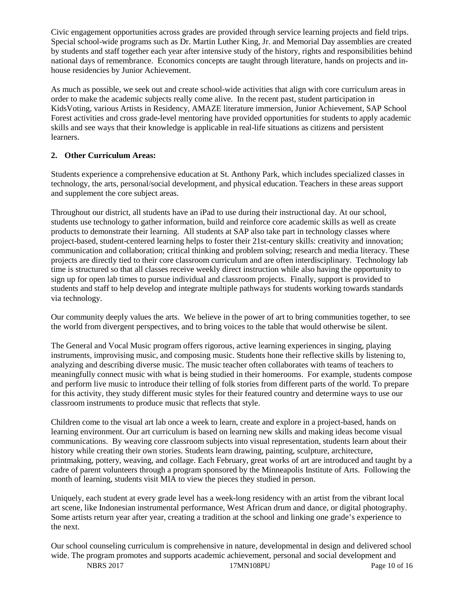Civic engagement opportunities across grades are provided through service learning projects and field trips. Special school-wide programs such as Dr. Martin Luther King, Jr. and Memorial Day assemblies are created by students and staff together each year after intensive study of the history, rights and responsibilities behind national days of remembrance. Economics concepts are taught through literature, hands on projects and inhouse residencies by Junior Achievement.

As much as possible, we seek out and create school-wide activities that align with core curriculum areas in order to make the academic subjects really come alive. In the recent past, student participation in KidsVoting, various Artists in Residency, AMAZE literature immersion, Junior Achievement, SAP School Forest activities and cross grade-level mentoring have provided opportunities for students to apply academic skills and see ways that their knowledge is applicable in real-life situations as citizens and persistent learners.

# **2. Other Curriculum Areas:**

Students experience a comprehensive education at St. Anthony Park, which includes specialized classes in technology, the arts, personal/social development, and physical education. Teachers in these areas support and supplement the core subject areas.

Throughout our district, all students have an iPad to use during their instructional day. At our school, students use technology to gather information, build and reinforce core academic skills as well as create products to demonstrate their learning. All students at SAP also take part in technology classes where project-based, student-centered learning helps to foster their 21st-century skills: creativity and innovation; communication and collaboration; critical thinking and problem solving; research and media literacy. These projects are directly tied to their core classroom curriculum and are often interdisciplinary. Technology lab time is structured so that all classes receive weekly direct instruction while also having the opportunity to sign up for open lab times to pursue individual and classroom projects. Finally, support is provided to students and staff to help develop and integrate multiple pathways for students working towards standards via technology.

Our community deeply values the arts. We believe in the power of art to bring communities together, to see the world from divergent perspectives, and to bring voices to the table that would otherwise be silent.

The General and Vocal Music program offers rigorous, active learning experiences in singing, playing instruments, improvising music, and composing music. Students hone their reflective skills by listening to, analyzing and describing diverse music. The music teacher often collaborates with teams of teachers to meaningfully connect music with what is being studied in their homerooms. For example, students compose and perform live music to introduce their telling of folk stories from different parts of the world. To prepare for this activity, they study different music styles for their featured country and determine ways to use our classroom instruments to produce music that reflects that style.

Children come to the visual art lab once a week to learn, create and explore in a project-based, hands on learning environment. Our art curriculum is based on learning new skills and making ideas become visual communications. By weaving core classroom subjects into visual representation, students learn about their history while creating their own stories. Students learn drawing, painting, sculpture, architecture, printmaking, pottery, weaving, and collage. Each February, great works of art are introduced and taught by a cadre of parent volunteers through a program sponsored by the Minneapolis Institute of Arts. Following the month of learning, students visit MIA to view the pieces they studied in person.

Uniquely, each student at every grade level has a week-long residency with an artist from the vibrant local art scene, like Indonesian instrumental performance, West African drum and dance, or digital photography. Some artists return year after year, creating a tradition at the school and linking one grade's experience to the next.

NBRS 2017 17MN108PU Page 10 of 16 Our school counseling curriculum is comprehensive in nature, developmental in design and delivered school wide. The program promotes and supports academic achievement, personal and social development and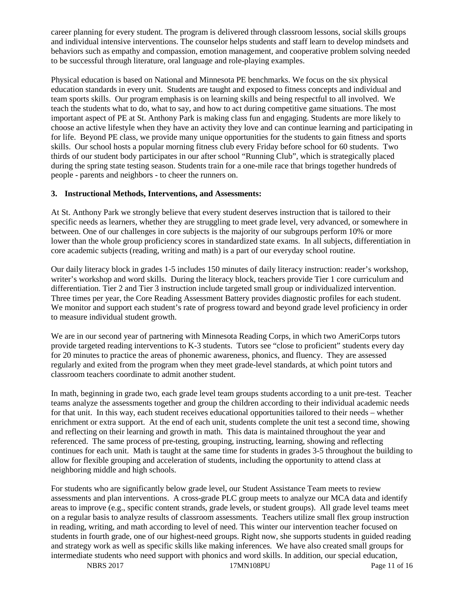career planning for every student. The program is delivered through classroom lessons, social skills groups and individual intensive interventions. The counselor helps students and staff learn to develop mindsets and behaviors such as empathy and compassion, emotion management, and cooperative problem solving needed to be successful through literature, oral language and role-playing examples.

Physical education is based on National and Minnesota PE benchmarks. We focus on the six physical education standards in every unit. Students are taught and exposed to fitness concepts and individual and team sports skills. Our program emphasis is on learning skills and being respectful to all involved. We teach the students what to do, what to say, and how to act during competitive game situations. The most important aspect of PE at St. Anthony Park is making class fun and engaging. Students are more likely to choose an active lifestyle when they have an activity they love and can continue learning and participating in for life. Beyond PE class, we provide many unique opportunities for the students to gain fitness and sports skills. Our school hosts a popular morning fitness club every Friday before school for 60 students. Two thirds of our student body participates in our after school "Running Club", which is strategically placed during the spring state testing season. Students train for a one-mile race that brings together hundreds of people - parents and neighbors - to cheer the runners on.

#### **3. Instructional Methods, Interventions, and Assessments:**

At St. Anthony Park we strongly believe that every student deserves instruction that is tailored to their specific needs as learners, whether they are struggling to meet grade level, very advanced, or somewhere in between. One of our challenges in core subjects is the majority of our subgroups perform 10% or more lower than the whole group proficiency scores in standardized state exams. In all subjects, differentiation in core academic subjects (reading, writing and math) is a part of our everyday school routine.

Our daily literacy block in grades 1-5 includes 150 minutes of daily literacy instruction: reader's workshop, writer's workshop and word skills. During the literacy block, teachers provide Tier 1 core curriculum and differentiation. Tier 2 and Tier 3 instruction include targeted small group or individualized intervention. Three times per year, the Core Reading Assessment Battery provides diagnostic profiles for each student. We monitor and support each student's rate of progress toward and beyond grade level proficiency in order to measure individual student growth.

We are in our second year of partnering with Minnesota Reading Corps, in which two AmeriCorps tutors provide targeted reading interventions to K-3 students. Tutors see "close to proficient" students every day for 20 minutes to practice the areas of phonemic awareness, phonics, and fluency. They are assessed regularly and exited from the program when they meet grade-level standards, at which point tutors and classroom teachers coordinate to admit another student.

In math, beginning in grade two, each grade level team groups students according to a unit pre-test. Teacher teams analyze the assessments together and group the children according to their individual academic needs for that unit. In this way, each student receives educational opportunities tailored to their needs – whether enrichment or extra support. At the end of each unit, students complete the unit test a second time, showing and reflecting on their learning and growth in math. This data is maintained throughout the year and referenced. The same process of pre-testing, grouping, instructing, learning, showing and reflecting continues for each unit. Math is taught at the same time for students in grades 3-5 throughout the building to allow for flexible grouping and acceleration of students, including the opportunity to attend class at neighboring middle and high schools.

For students who are significantly below grade level, our Student Assistance Team meets to review assessments and plan interventions. A cross-grade PLC group meets to analyze our MCA data and identify areas to improve (e.g., specific content strands, grade levels, or student groups). All grade level teams meet on a regular basis to analyze results of classroom assessments. Teachers utilize small flex group instruction in reading, writing, and math according to level of need. This winter our intervention teacher focused on students in fourth grade, one of our highest-need groups. Right now, she supports students in guided reading and strategy work as well as specific skills like making inferences. We have also created small groups for intermediate students who need support with phonics and word skills. In addition, our special education,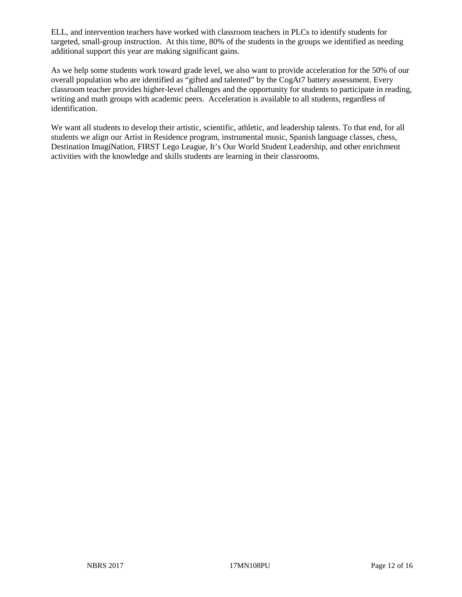ELL, and intervention teachers have worked with classroom teachers in PLCs to identify students for targeted, small-group instruction. At this time, 80% of the students in the groups we identified as needing additional support this year are making significant gains.

As we help some students work toward grade level, we also want to provide acceleration for the 50% of our overall population who are identified as "gifted and talented" by the CogAt7 battery assessment. Every classroom teacher provides higher-level challenges and the opportunity for students to participate in reading, writing and math groups with academic peers. Acceleration is available to all students, regardless of identification.

We want all students to develop their artistic, scientific, athletic, and leadership talents. To that end, for all students we align our Artist in Residence program, instrumental music, Spanish language classes, chess, Destination ImagiNation, FIRST Lego League, It's Our World Student Leadership, and other enrichment activities with the knowledge and skills students are learning in their classrooms.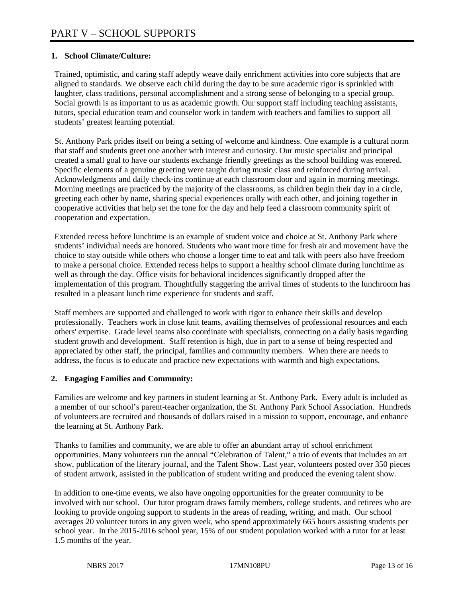# **1. School Climate/Culture:**

Trained, optimistic, and caring staff adeptly weave daily enrichment activities into core subjects that are aligned to standards. We observe each child during the day to be sure academic rigor is sprinkled with laughter, class traditions, personal accomplishment and a strong sense of belonging to a special group. Social growth is as important to us as academic growth. Our support staff including teaching assistants, tutors, special education team and counselor work in tandem with teachers and families to support all students' greatest learning potential.

St. Anthony Park prides itself on being a setting of welcome and kindness. One example is a cultural norm that staff and students greet one another with interest and curiosity. Our music specialist and principal created a small goal to have our students exchange friendly greetings as the school building was entered. Specific elements of a genuine greeting were taught during music class and reinforced during arrival. Acknowledgments and daily check-ins continue at each classroom door and again in morning meetings. Morning meetings are practiced by the majority of the classrooms, as children begin their day in a circle, greeting each other by name, sharing special experiences orally with each other, and joining together in cooperative activities that help set the tone for the day and help feed a classroom community spirit of cooperation and expectation.

Extended recess before lunchtime is an example of student voice and choice at St. Anthony Park where students' individual needs are honored. Students who want more time for fresh air and movement have the choice to stay outside while others who choose a longer time to eat and talk with peers also have freedom to make a personal choice. Extended recess helps to support a healthy school climate during lunchtime as well as through the day. Office visits for behavioral incidences significantly dropped after the implementation of this program. Thoughtfully staggering the arrival times of students to the lunchroom has resulted in a pleasant lunch time experience for students and staff.

Staff members are supported and challenged to work with rigor to enhance their skills and develop professionally. Teachers work in close knit teams, availing themselves of professional resources and each others' expertise. Grade level teams also coordinate with specialists, connecting on a daily basis regarding student growth and development. Staff retention is high, due in part to a sense of being respected and appreciated by other staff, the principal, families and community members. When there are needs to address, the focus is to educate and practice new expectations with warmth and high expectations.

#### **2. Engaging Families and Community:**

Families are welcome and key partners in student learning at St. Anthony Park. Every adult is included as a member of our school's parent-teacher organization, the St. Anthony Park School Association. Hundreds of volunteers are recruited and thousands of dollars raised in a mission to support, encourage, and enhance the learning at St. Anthony Park.

Thanks to families and community, we are able to offer an abundant array of school enrichment opportunities. Many volunteers run the annual "Celebration of Talent," a trio of events that includes an art show, publication of the literary journal, and the Talent Show. Last year, volunteers posted over 350 pieces of student artwork, assisted in the publication of student writing and produced the evening talent show.

In addition to one-time events, we also have ongoing opportunities for the greater community to be involved with our school. Our tutor program draws family members, college students, and retirees who are looking to provide ongoing support to students in the areas of reading, writing, and math. Our school averages 20 volunteer tutors in any given week, who spend approximately 665 hours assisting students per school year. In the 2015-2016 school year, 15% of our student population worked with a tutor for at least 1.5 months of the year.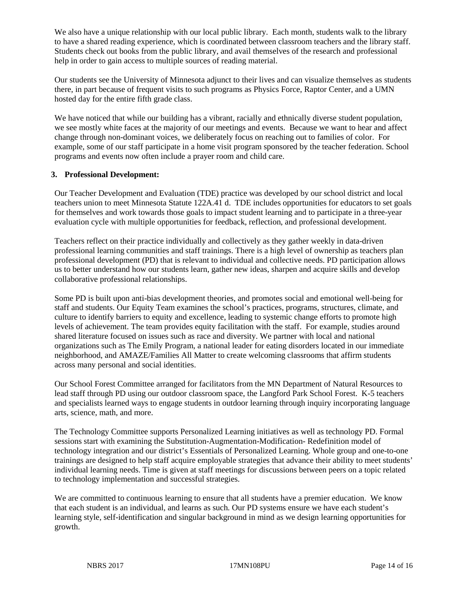We also have a unique relationship with our local public library. Each month, students walk to the library to have a shared reading experience, which is coordinated between classroom teachers and the library staff. Students check out books from the public library, and avail themselves of the research and professional help in order to gain access to multiple sources of reading material.

Our students see the University of Minnesota adjunct to their lives and can visualize themselves as students there, in part because of frequent visits to such programs as Physics Force, Raptor Center, and a UMN hosted day for the entire fifth grade class.

We have noticed that while our building has a vibrant, racially and ethnically diverse student population, we see mostly white faces at the majority of our meetings and events. Because we want to hear and affect change through non-dominant voices, we deliberately focus on reaching out to families of color. For example, some of our staff participate in a home visit program sponsored by the teacher federation. School programs and events now often include a prayer room and child care.

# **3. Professional Development:**

Our Teacher Development and Evaluation (TDE) practice was developed by our school district and local teachers union to meet Minnesota Statute 122A.41 d. TDE includes opportunities for educators to set goals for themselves and work towards those goals to impact student learning and to participate in a three-year evaluation cycle with multiple opportunities for feedback, reflection, and professional development.

Teachers reflect on their practice individually and collectively as they gather weekly in data-driven professional learning communities and staff trainings. There is a high level of ownership as teachers plan professional development (PD) that is relevant to individual and collective needs. PD participation allows us to better understand how our students learn, gather new ideas, sharpen and acquire skills and develop collaborative professional relationships.

Some PD is built upon anti-bias development theories, and promotes social and emotional well-being for staff and students. Our Equity Team examines the school's practices, programs, structures, climate, and culture to identify barriers to equity and excellence, leading to systemic change efforts to promote high levels of achievement. The team provides equity facilitation with the staff. For example, studies around shared literature focused on issues such as race and diversity. We partner with local and national organizations such as The Emily Program, a national leader for eating disorders located in our immediate neighborhood, and AMAZE/Families All Matter to create welcoming classrooms that affirm students across many personal and social identities.

Our School Forest Committee arranged for facilitators from the MN Department of Natural Resources to lead staff through PD using our outdoor classroom space, the Langford Park School Forest. K-5 teachers and specialists learned ways to engage students in outdoor learning through inquiry incorporating language arts, science, math, and more.

The Technology Committee supports Personalized Learning initiatives as well as technology PD. Formal sessions start with examining the Substitution-Augmentation-Modification- Redefinition model of technology integration and our district's Essentials of Personalized Learning. Whole group and one-to-one trainings are designed to help staff acquire employable strategies that advance their ability to meet students' individual learning needs. Time is given at staff meetings for discussions between peers on a topic related to technology implementation and successful strategies.

We are committed to continuous learning to ensure that all students have a premier education. We know that each student is an individual, and learns as such. Our PD systems ensure we have each student's learning style, self-identification and singular background in mind as we design learning opportunities for growth.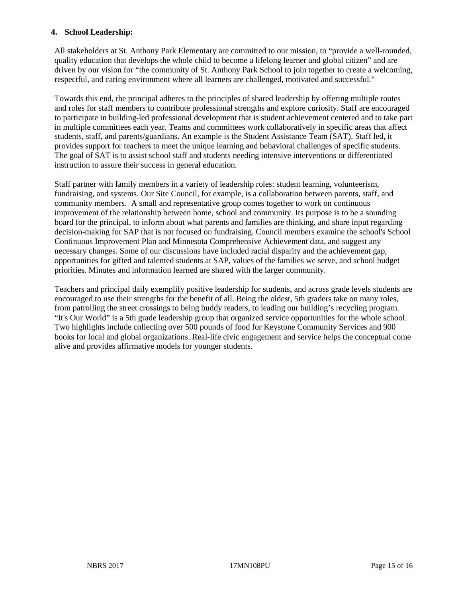#### **4. School Leadership:**

All stakeholders at St. Anthony Park Elementary are committed to our mission, to "provide a well-rounded, quality education that develops the whole child to become a lifelong learner and global citizen" and are driven by our vision for "the community of St. Anthony Park School to join together to create a welcoming, respectful, and caring environment where all learners are challenged, motivated and successful."

Towards this end, the principal adheres to the principles of shared leadership by offering multiple routes and roles for staff members to contribute professional strengths and explore curiosity. Staff are encouraged to participate in building-led professional development that is student achievement centered and to take part in multiple committees each year. Teams and committees work collaboratively in specific areas that affect students, staff, and parents/guardians. An example is the Student Assistance Team (SAT). Staff led, it provides support for teachers to meet the unique learning and behavioral challenges of specific students. The goal of SAT is to assist school staff and students needing intensive interventions or differentiated instruction to assure their success in general education.

Staff partner with family members in a variety of leadership roles: student learning, volunteerism, fundraising, and systems. Our Site Council, for example, is a collaboration between parents, staff, and community members. A small and representative group comes together to work on continuous improvement of the relationship between home, school and community. Its purpose is to be a sounding board for the principal, to inform about what parents and families are thinking, and share input regarding decision-making for SAP that is not focused on fundraising. Council members examine the school's School Continuous Improvement Plan and Minnesota Comprehensive Achievement data, and suggest any necessary changes. Some of our discussions have included racial disparity and the achievement gap, opportunities for gifted and talented students at SAP, values of the families we serve, and school budget priorities. Minutes and information learned are shared with the larger community.

Teachers and principal daily exemplify positive leadership for students, and across grade levels students are encouraged to use their strengths for the benefit of all. Being the oldest, 5th graders take on many roles, from patrolling the street crossings to being buddy readers, to leading our building's recycling program. "It's Our World" is a 5th grade leadership group that organized service opportunities for the whole school. Two highlights include collecting over 500 pounds of food for Keystone Community Services and 900 books for local and global organizations. Real-life civic engagement and service helps the conceptual come alive and provides affirmative models for younger students.